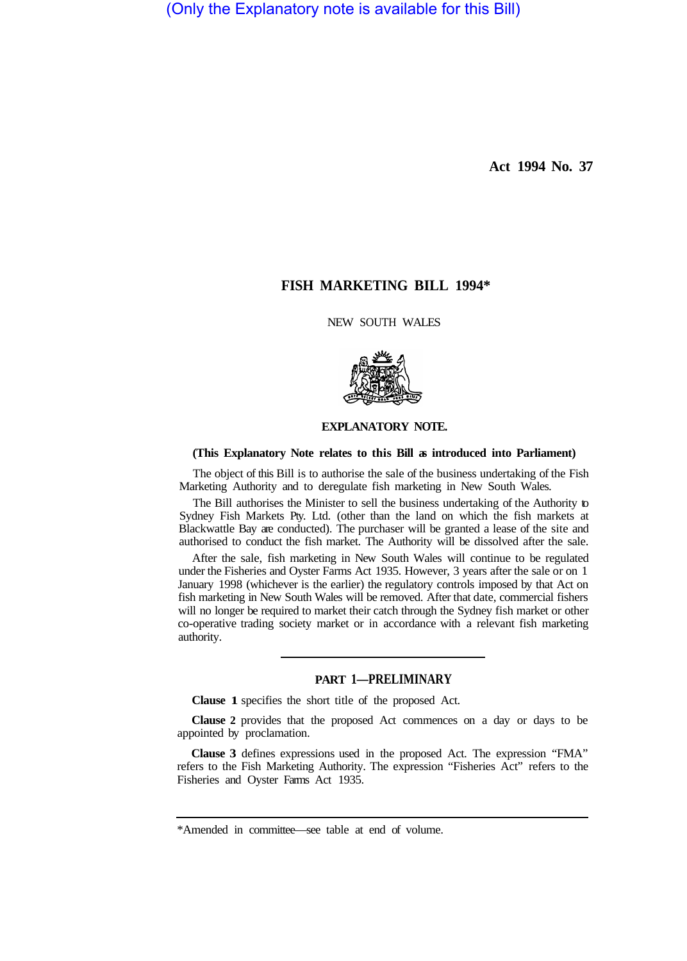(Only the Explanatory note is available for this Bill)

**Act 1994 No. 37** 

# **FISH MARKETING BILL 1994\***

NEW SOUTH WALES



## **EXPLANATORY NOTE.**

## **(This Explanatory Note relates to this Bill as introduced into Parliament)**

The object of this Bill is to authorise the sale of the business undertaking of the Fish Marketing Authority and to deregulate fish marketing in New South Wales.

The Bill authorises the Minister to sell the business undertaking of the Authority to Sydney Fish Markets Pty. Ltd. (other than the land on which the fish markets at Blackwattle Bay are conducted). The purchaser will be granted a lease of the site and authorised to conduct the fish market. The Authority will be dissolved after the sale.

After the sale, fish marketing in New South Wales will continue to be regulated under the Fisheries and Oyster Farms Act 1935. However, 3 years after the sale or on 1 January 1998 (whichever is the earlier) the regulatory controls imposed by that Act on fish marketing in New South Wales will be removed. After that date, commercial fishers will no longer be required to market their catch through the Sydney fish market or other co-operative trading society market or in accordance with a relevant fish marketing authority.

# **PART 1—PRELIMINARY**

**Clause 1** specifies the short title of the proposed Act.

**Clause 2** provides that the proposed Act commences on a day or days to be appointed by proclamation.

**Clause 3** defines expressions used in the proposed Act. The expression "FMA" refers to the Fish Marketing Authority. The expression "Fisheries Act" refers to the Fisheries and Oyster Farms Act 1935.

<sup>\*</sup>Amended in committee—see table at end of volume.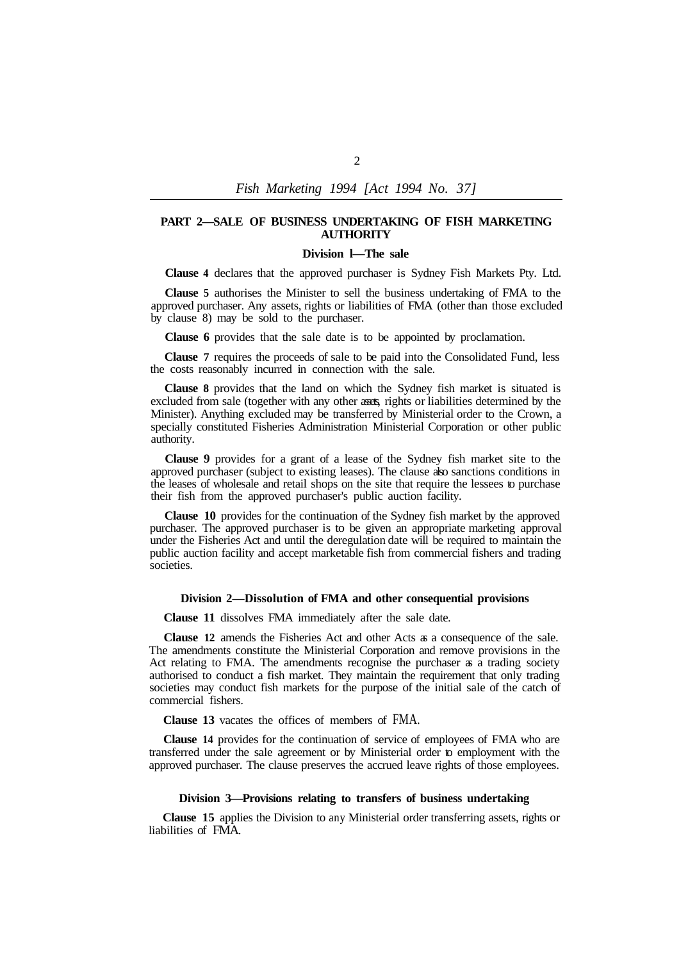*Fish Marketing 1994 [Act 1994 No. 37]* 

## **PART 2—SALE OF BUSINESS UNDERTAKING OF FISH MARKETING AUTHORITY**

#### **Division l—The sale**

**Clause 4** declares that the approved purchaser is Sydney Fish Markets Pty. Ltd.

**Clause 5** authorises the Minister to sell the business undertaking of FMA to the approved purchaser. Any assets, rights or liabilities of FMA (other than those excluded by clause 8) may be sold to the purchaser.

**Clause 6** provides that the sale date is to be appointed by proclamation.

**Clause 7** requires the proceeds of sale to be paid into the Consolidated Fund, less the costs reasonably incurred in connection with the sale.

**Clause 8** provides that the land on which the Sydney fish market is situated is excluded from sale (together with any other assets, rights or liabilities determined by the Minister). Anything excluded may be transferred by Ministerial order to the Crown, a specially constituted Fisheries Administration Ministerial Corporation or other public authority.

**Clause 9** provides for a grant of a lease of the Sydney fish market site to the approved purchaser (subject to existing leases). The clause also sanctions conditions in the leases of wholesale and retail shops on the site that require the lessees to purchase their fish from the approved purchaser's public auction facility.

**Clause 10** provides for the continuation of the Sydney fish market by the approved purchaser. The approved purchaser is to be given an appropriate marketing approval under the Fisheries Act and until the deregulation date will be required to maintain the public auction facility and accept marketable fish from commercial fishers and trading societies.

#### **Division 2—Dissolution of FMA and other consequential provisions**

**Clause 11** dissolves FMA immediately after the sale date.

**Clause 12** amends the Fisheries Act and other Acts as a consequence of the sale. The amendments constitute the Ministerial Corporation and remove provisions in the Act relating to FMA. The amendments recognise the purchaser as a trading society authorised to conduct a fish market. They maintain the requirement that only trading societies may conduct fish markets for the purpose of the initial sale of the catch of commercial fishers.

**Clause 13** vacates the offices of members of FMA.

**Clause 14** provides for the continuation of service of employees of FMA who are transferred under the sale agreement or by Ministerial order to employment with the approved purchaser. The clause preserves the accrued leave rights of those employees.

### **Division 3—Provisions relating to transfers of business undertaking**

**Clause 15** applies the Division to any Ministerial order transferring assets, rights or liabilities of FMA.